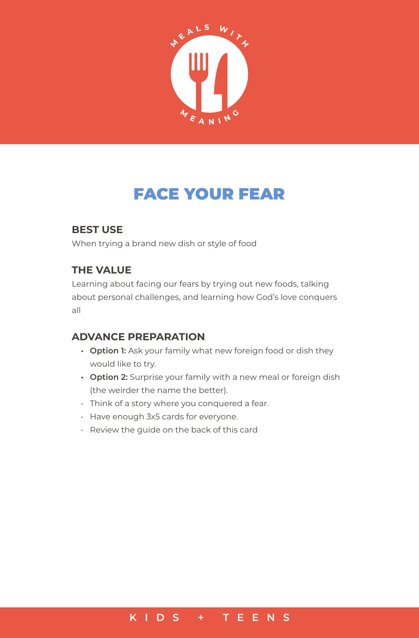

# FACE YOUR FEAR

### **BEST USE**

When trying a brand new dish or style of food

#### **THE VALUE**

Learning about facing our fears by trying out new foods, talking about personal challenges, and learning how God's love conquers all

## **ADVANCE PREPARATION**

- **• Option 1:** Ask your family what new foreign food or dish they would like to try.
- **• Option 2:** Surprise your family with a new meal or foreign dish (the weirder the name the better).
- Think of a story where you conquered a fear.
- Have enough 3x5 cards for everyone.
- Review the guide on the back of this card